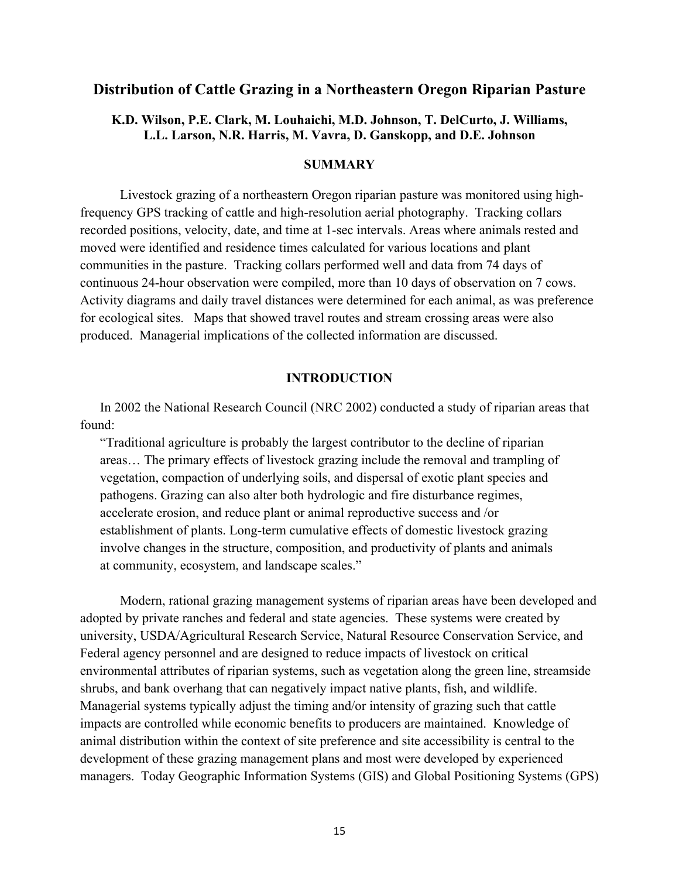# **Distribution of Cattle Grazing in a Northeastern Oregon Riparian Pasture**

# **K.D. Wilson, P.E. Clark, M. Louhaichi, M.D. Johnson, T. DelCurto, J. Williams, L.L. Larson, N.R. Harris, M. Vavra, D. Ganskopp, and D.E. Johnson**

### **SUMMARY**

Livestock grazing of a northeastern Oregon riparian pasture was monitored using highfrequency GPS tracking of cattle and high-resolution aerial photography. Tracking collars recorded positions, velocity, date, and time at 1-sec intervals. Areas where animals rested and moved were identified and residence times calculated for various locations and plant communities in the pasture. Tracking collars performed well and data from 74 days of continuous 24-hour observation were compiled, more than 10 days of observation on 7 cows. Activity diagrams and daily travel distances were determined for each animal, as was preference for ecological sites. Maps that showed travel routes and stream crossing areas were also produced. Managerial implications of the collected information are discussed.

#### **INTRODUCTION**

In 2002 the National Research Council (NRC 2002) conducted a study of riparian areas that found:

"Traditional agriculture is probably the largest contributor to the decline of riparian areas… The primary effects of livestock grazing include the removal and trampling of vegetation, compaction of underlying soils, and dispersal of exotic plant species and pathogens. Grazing can also alter both hydrologic and fire disturbance regimes, accelerate erosion, and reduce plant or animal reproductive success and /or establishment of plants. Long-term cumulative effects of domestic livestock grazing involve changes in the structure, composition, and productivity of plants and animals at community, ecosystem, and landscape scales."

Modern, rational grazing management systems of riparian areas have been developed and adopted by private ranches and federal and state agencies. These systems were created by university, USDA/Agricultural Research Service, Natural Resource Conservation Service, and Federal agency personnel and are designed to reduce impacts of livestock on critical environmental attributes of riparian systems, such as vegetation along the green line, streamside shrubs, and bank overhang that can negatively impact native plants, fish, and wildlife. Managerial systems typically adjust the timing and/or intensity of grazing such that cattle impacts are controlled while economic benefits to producers are maintained. Knowledge of animal distribution within the context of site preference and site accessibility is central to the development of these grazing management plans and most were developed by experienced managers. Today Geographic Information Systems (GIS) and Global Positioning Systems (GPS)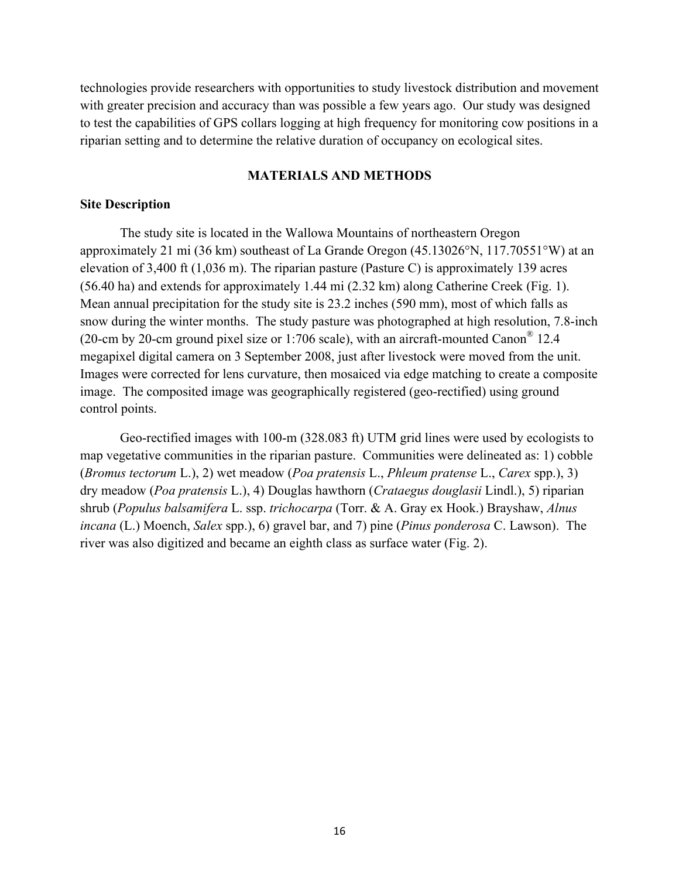technologies provide researchers with opportunities to study livestock distribution and movement with greater precision and accuracy than was possible a few years ago. Our study was designed to test the capabilities of GPS collars logging at high frequency for monitoring cow positions in a riparian setting and to determine the relative duration of occupancy on ecological sites.

### **MATERIALS AND METHODS**

# **Site Description**

The study site is located in the Wallowa Mountains of northeastern Oregon approximately 21 mi (36 km) southeast of La Grande Oregon (45.13026°N, 117.70551°W) at an elevation of 3,400 ft (1,036 m). The riparian pasture (Pasture C) is approximately 139 acres (56.40 ha) and extends for approximately 1.44 mi (2.32 km) along Catherine Creek (Fig. 1). Mean annual precipitation for the study site is 23.2 inches (590 mm), most of which falls as snow during the winter months. The study pasture was photographed at high resolution, 7.8-inch (20-cm by 20-cm ground pixel size or 1:706 scale), with an aircraft-mounted Canon® 12.4 megapixel digital camera on 3 September 2008, just after livestock were moved from the unit. Images were corrected for lens curvature, then mosaiced via edge matching to create a composite image. The composited image was geographically registered (geo-rectified) using ground control points.

Geo-rectified images with 100-m (328.083 ft) UTM grid lines were used by ecologists to map vegetative communities in the riparian pasture. Communities were delineated as: 1) cobble (*Bromus tectorum* L.), 2) wet meadow (*Poa pratensis* L., *Phleum pratense* L., *Carex* spp.), 3) dry meadow (*Poa pratensis* L.), 4) Douglas hawthorn (*Crataegus douglasii* Lindl.), 5) riparian shrub (*Populus balsamifera* L. ssp. *trichocarpa* (Torr. & A. Gray ex Hook.) Brayshaw, *Alnus incana* (L.) Moench, *Salex* spp.), 6) gravel bar, and 7) pine (*Pinus ponderosa* C. Lawson). The river was also digitized and became an eighth class as surface water (Fig. 2).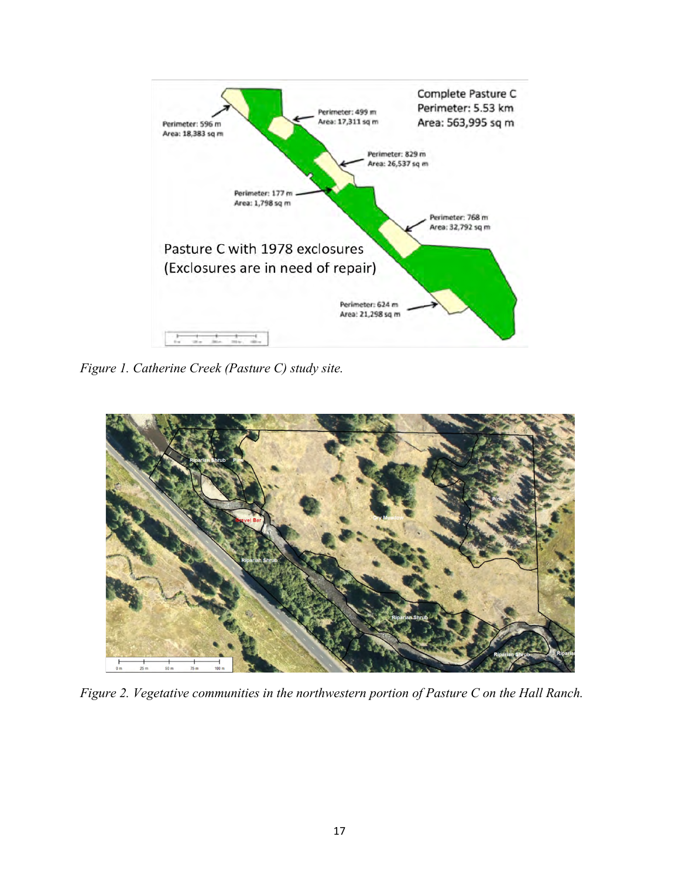

*Figure 1. Catherine Creek (Pasture C) study site.*



*Figure 2. Vegetative communities in the northwestern portion of Pasture C on the Hall Ranch.*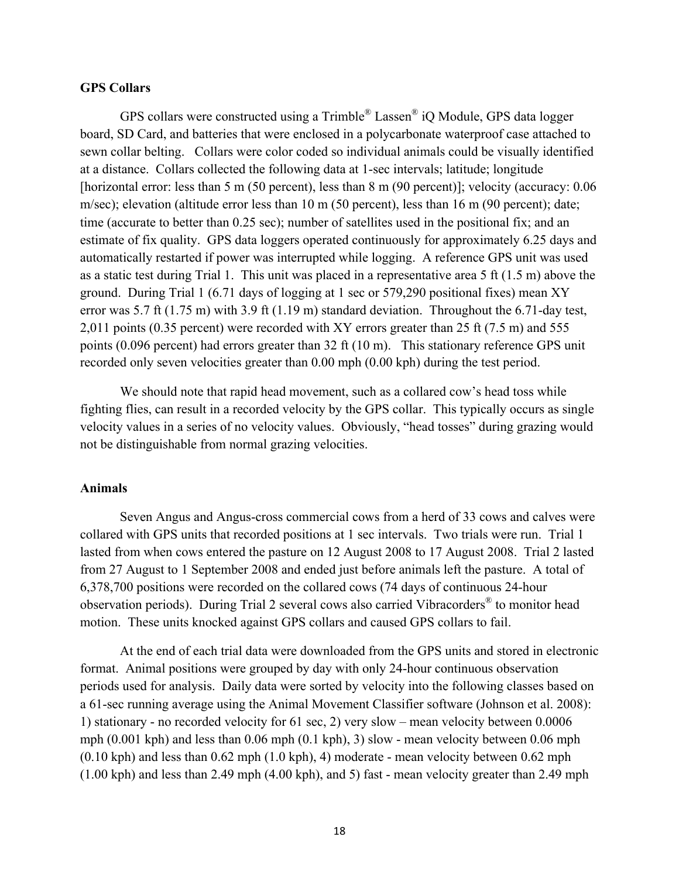## **GPS Collars**

GPS collars were constructed using a Trimble® Lassen® iQ Module, GPS data logger board, SD Card, and batteries that were enclosed in a polycarbonate waterproof case attached to sewn collar belting. Collars were color coded so individual animals could be visually identified at a distance. Collars collected the following data at 1-sec intervals; latitude; longitude [horizontal error: less than 5 m (50 percent), less than 8 m (90 percent)]; velocity (accuracy: 0.06 m/sec); elevation (altitude error less than 10 m (50 percent), less than 16 m (90 percent); date; time (accurate to better than 0.25 sec); number of satellites used in the positional fix; and an estimate of fix quality. GPS data loggers operated continuously for approximately 6.25 days and automatically restarted if power was interrupted while logging. A reference GPS unit was used as a static test during Trial 1. This unit was placed in a representative area 5 ft (1.5 m) above the ground. During Trial 1 (6.71 days of logging at 1 sec or 579,290 positional fixes) mean XY error was 5.7 ft (1.75 m) with 3.9 ft (1.19 m) standard deviation. Throughout the 6.71-day test, 2,011 points (0.35 percent) were recorded with XY errors greater than 25 ft (7.5 m) and 555 points (0.096 percent) had errors greater than 32 ft (10 m). This stationary reference GPS unit recorded only seven velocities greater than 0.00 mph (0.00 kph) during the test period.

We should note that rapid head movement, such as a collared cow's head toss while fighting flies, can result in a recorded velocity by the GPS collar. This typically occurs as single velocity values in a series of no velocity values. Obviously, "head tosses" during grazing would not be distinguishable from normal grazing velocities.

# **Animals**

Seven Angus and Angus-cross commercial cows from a herd of 33 cows and calves were collared with GPS units that recorded positions at 1 sec intervals. Two trials were run. Trial 1 lasted from when cows entered the pasture on 12 August 2008 to 17 August 2008. Trial 2 lasted from 27 August to 1 September 2008 and ended just before animals left the pasture. A total of 6,378,700 positions were recorded on the collared cows (74 days of continuous 24-hour observation periods). During Trial 2 several cows also carried Vibracorders® to monitor head motion. These units knocked against GPS collars and caused GPS collars to fail.

At the end of each trial data were downloaded from the GPS units and stored in electronic format. Animal positions were grouped by day with only 24-hour continuous observation periods used for analysis. Daily data were sorted by velocity into the following classes based on a 61-sec running average using the Animal Movement Classifier software (Johnson et al. 2008): 1) stationary - no recorded velocity for 61 sec, 2) very slow – mean velocity between 0.0006 mph (0.001 kph) and less than 0.06 mph (0.1 kph), 3) slow - mean velocity between 0.06 mph  $(0.10 \text{ kph})$  and less than  $0.62 \text{ mph}$   $(1.0 \text{ kph})$ , 4) moderate - mean velocity between  $0.62 \text{ mph}$ (1.00 kph) and less than 2.49 mph (4.00 kph), and 5) fast - mean velocity greater than 2.49 mph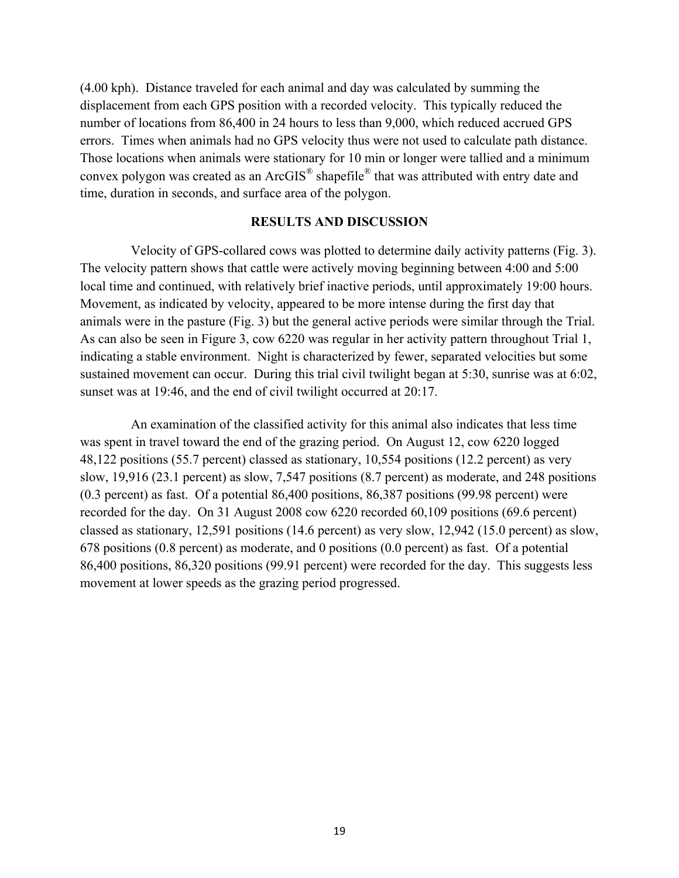(4.00 kph). Distance traveled for each animal and day was calculated by summing the displacement from each GPS position with a recorded velocity. This typically reduced the number of locations from 86,400 in 24 hours to less than 9,000, which reduced accrued GPS errors. Times when animals had no GPS velocity thus were not used to calculate path distance. Those locations when animals were stationary for 10 min or longer were tallied and a minimum convex polygon was created as an ArcGIS® shapefile® that was attributed with entry date and time, duration in seconds, and surface area of the polygon.

# **RESULTS AND DISCUSSION**

Velocity of GPS-collared cows was plotted to determine daily activity patterns (Fig. 3). The velocity pattern shows that cattle were actively moving beginning between 4:00 and 5:00 local time and continued, with relatively brief inactive periods, until approximately 19:00 hours. Movement, as indicated by velocity, appeared to be more intense during the first day that animals were in the pasture (Fig. 3) but the general active periods were similar through the Trial. As can also be seen in Figure 3, cow 6220 was regular in her activity pattern throughout Trial 1, indicating a stable environment. Night is characterized by fewer, separated velocities but some sustained movement can occur. During this trial civil twilight began at 5:30, sunrise was at 6:02, sunset was at 19:46, and the end of civil twilight occurred at 20:17.

An examination of the classified activity for this animal also indicates that less time was spent in travel toward the end of the grazing period. On August 12, cow 6220 logged 48,122 positions (55.7 percent) classed as stationary, 10,554 positions (12.2 percent) as very slow, 19,916 (23.1 percent) as slow, 7,547 positions (8.7 percent) as moderate, and 248 positions (0.3 percent) as fast. Of a potential 86,400 positions, 86,387 positions (99.98 percent) were recorded for the day. On 31 August 2008 cow 6220 recorded 60,109 positions (69.6 percent) classed as stationary, 12,591 positions (14.6 percent) as very slow, 12,942 (15.0 percent) as slow, 678 positions (0.8 percent) as moderate, and 0 positions (0.0 percent) as fast. Of a potential 86,400 positions, 86,320 positions (99.91 percent) were recorded for the day. This suggests less movement at lower speeds as the grazing period progressed.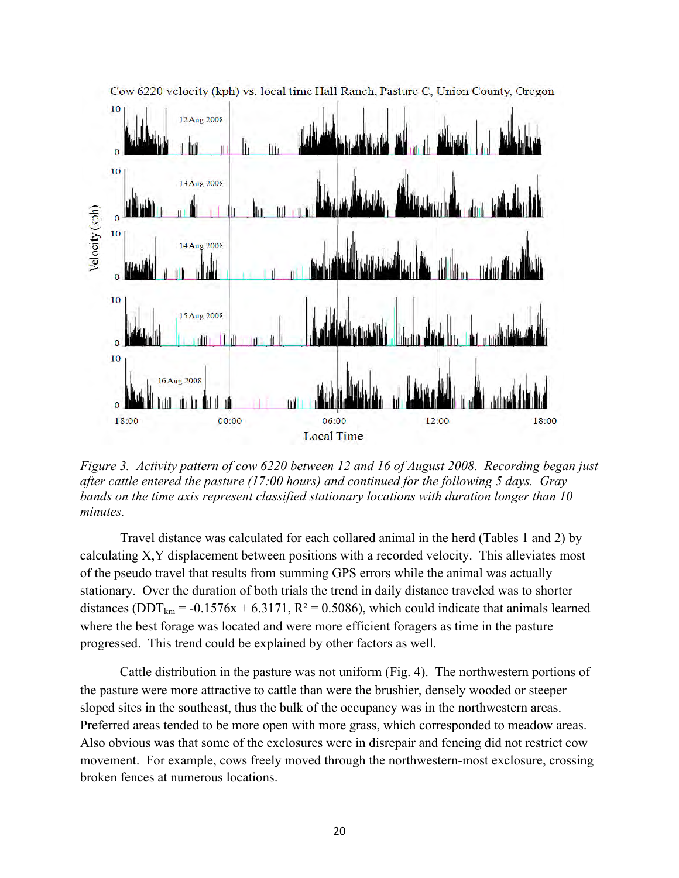

*Figure 3. Activity pattern of cow 6220 between 12 and 16 of August 2008. Recording began just after cattle entered the pasture (17:00 hours) and continued for the following 5 days. Gray bands on the time axis represent classified stationary locations with duration longer than 10 minutes.* 

Travel distance was calculated for each collared animal in the herd (Tables 1 and 2) by calculating X,Y displacement between positions with a recorded velocity. This alleviates most of the pseudo travel that results from summing GPS errors while the animal was actually stationary. Over the duration of both trials the trend in daily distance traveled was to shorter distances ( $DDT_{km}$  = -0.1576x + 6.3171, R<sup>2</sup> = 0.5086), which could indicate that animals learned where the best forage was located and were more efficient foragers as time in the pasture progressed. This trend could be explained by other factors as well.

Cattle distribution in the pasture was not uniform (Fig. 4). The northwestern portions of the pasture were more attractive to cattle than were the brushier, densely wooded or steeper sloped sites in the southeast, thus the bulk of the occupancy was in the northwestern areas. Preferred areas tended to be more open with more grass, which corresponded to meadow areas. Also obvious was that some of the exclosures were in disrepair and fencing did not restrict cow movement. For example, cows freely moved through the northwestern-most exclosure, crossing broken fences at numerous locations.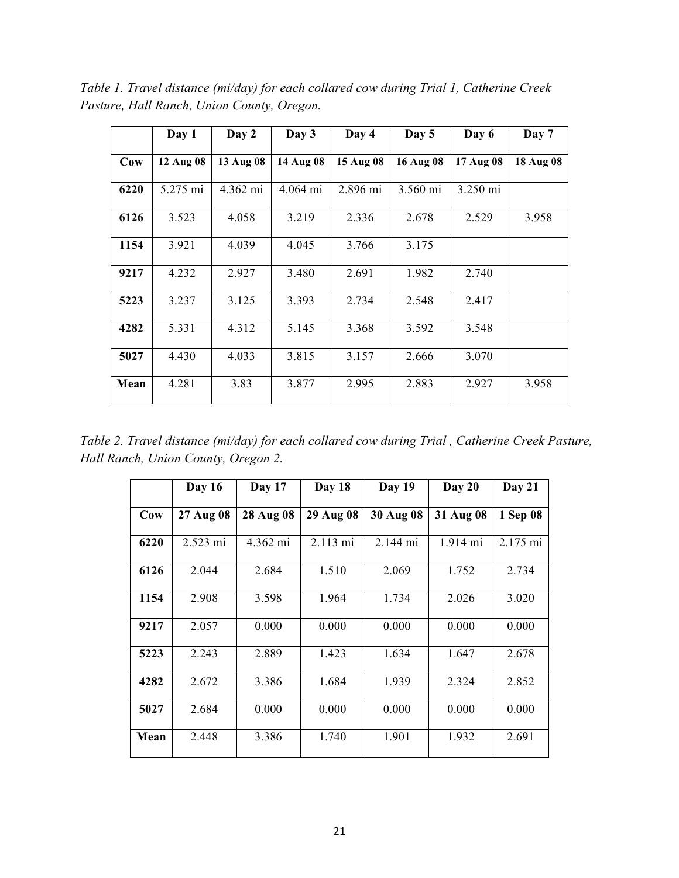*Table 1. Travel distance (mi/day) for each collared cow during Trial 1, Catherine Creek Pasture, Hall Ranch, Union County, Oregon.*

|      | Day 1     | Day 2              | Day 3     | Day 4     | Day 5     | Day 6     | Day 7     |
|------|-----------|--------------------|-----------|-----------|-----------|-----------|-----------|
| Cow  | 12 Aug 08 | 13 Aug 08          | 14 Aug 08 | 15 Aug 08 | 16 Aug 08 | 17 Aug 08 | 18 Aug 08 |
| 6220 | 5.275 mi  | $4.362 \text{ mi}$ | 4.064 mi  | 2.896 mi  | 3.560 mi  | 3.250 mi  |           |
| 6126 | 3.523     | 4.058              | 3.219     | 2.336     | 2.678     | 2.529     | 3.958     |
| 1154 | 3.921     | 4.039              | 4.045     | 3.766     | 3.175     |           |           |
| 9217 | 4.232     | 2.927              | 3.480     | 2.691     | 1.982     | 2.740     |           |
| 5223 | 3.237     | 3.125              | 3.393     | 2.734     | 2.548     | 2.417     |           |
| 4282 | 5.331     | 4.312              | 5.145     | 3.368     | 3.592     | 3.548     |           |
| 5027 | 4.430     | 4.033              | 3.815     | 3.157     | 2.666     | 3.070     |           |
| Mean | 4.281     | 3.83               | 3.877     | 2.995     | 2.883     | 2.927     | 3.958     |

*Table 2. Travel distance (mi/day) for each collared cow during Trial , Catherine Creek Pasture, Hall Ranch, Union County, Oregon 2.*

|      | Day 16    | Day 17    | Day 18    | Day 19    | Day 20    | Day 21   |
|------|-----------|-----------|-----------|-----------|-----------|----------|
| Cow  | 27 Aug 08 | 28 Aug 08 | 29 Aug 08 | 30 Aug 08 | 31 Aug 08 | 1 Sep 08 |
| 6220 | 2.523 mi  | 4.362 mi  | 2.113 mi  | 2.144 mi  | 1.914 mi  | 2.175 mi |
| 6126 | 2.044     | 2.684     | 1.510     | 2.069     | 1.752     | 2.734    |
| 1154 | 2.908     | 3.598     | 1.964     | 1.734     | 2.026     | 3.020    |
| 9217 | 2.057     | 0.000     | 0.000     | 0.000     | 0.000     | 0.000    |
| 5223 | 2.243     | 2.889     | 1.423     | 1.634     | 1.647     | 2.678    |
| 4282 | 2.672     | 3.386     | 1.684     | 1.939     | 2.324     | 2.852    |
| 5027 | 2.684     | 0.000     | 0.000     | 0.000     | 0.000     | 0.000    |
| Mean | 2.448     | 3.386     | 1.740     | 1.901     | 1.932     | 2.691    |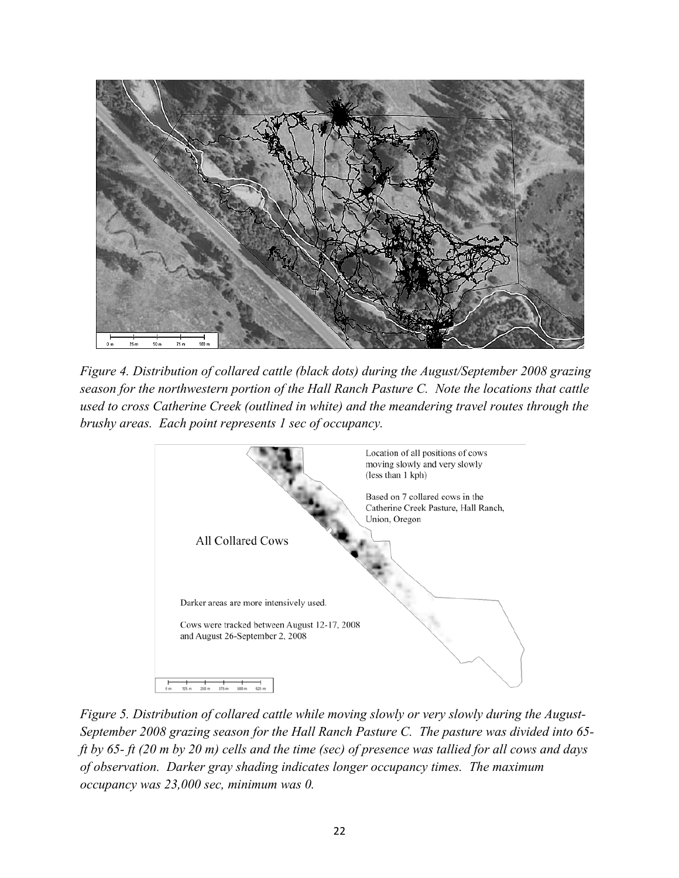

*Figure 4. Distribution of collared cattle (black dots) during the August/September 2008 grazing season for the northwestern portion of the Hall Ranch Pasture C. Note the locations that cattle used to cross Catherine Creek (outlined in white) and the meandering travel routes through the brushy areas. Each point represents 1 sec of occupancy.*



*Figure 5. Distribution of collared cattle while moving slowly or very slowly during the August-September 2008 grazing season for the Hall Ranch Pasture C. The pasture was divided into 65 ft by 65- ft (20 m by 20 m) cells and the time (sec) of presence was tallied for all cows and days of observation. Darker gray shading indicates longer occupancy times. The maximum occupancy was 23,000 sec, minimum was 0.*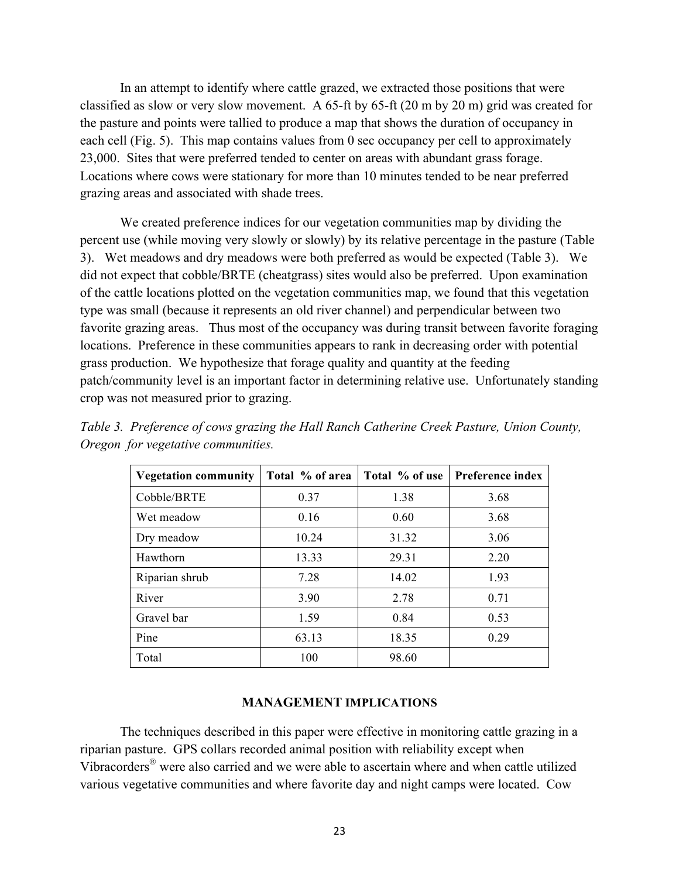In an attempt to identify where cattle grazed, we extracted those positions that were classified as slow or very slow movement. A 65-ft by 65-ft (20 m by 20 m) grid was created for the pasture and points were tallied to produce a map that shows the duration of occupancy in each cell (Fig. 5). This map contains values from 0 sec occupancy per cell to approximately 23,000. Sites that were preferred tended to center on areas with abundant grass forage. Locations where cows were stationary for more than 10 minutes tended to be near preferred grazing areas and associated with shade trees.

We created preference indices for our vegetation communities map by dividing the percent use (while moving very slowly or slowly) by its relative percentage in the pasture (Table 3). Wet meadows and dry meadows were both preferred as would be expected (Table 3). We did not expect that cobble/BRTE (cheatgrass) sites would also be preferred. Upon examination of the cattle locations plotted on the vegetation communities map, we found that this vegetation type was small (because it represents an old river channel) and perpendicular between two favorite grazing areas. Thus most of the occupancy was during transit between favorite foraging locations. Preference in these communities appears to rank in decreasing order with potential grass production. We hypothesize that forage quality and quantity at the feeding patch/community level is an important factor in determining relative use. Unfortunately standing crop was not measured prior to grazing.

| <b>Vegetation community</b> | Total % of area | Total % of use | Preference index |
|-----------------------------|-----------------|----------------|------------------|
|                             |                 |                |                  |
| Cobble/BRTE                 | 0.37            | 1.38           | 3.68             |
| Wet meadow                  | 0.16            | 0.60           | 3.68             |
| Dry meadow                  | 10.24           | 31.32          | 3.06             |
| Hawthorn                    | 13.33           | 29.31          | 2.20             |
| Riparian shrub              | 7.28            | 14.02          | 1.93             |
| River                       | 3.90            | 2.78           | 0.71             |
| Gravel bar                  | 1.59            | 0.84           | 0.53             |
| Pine                        | 63.13           | 18.35          | 0.29             |
| Total                       | 100             | 98.60          |                  |

*Table 3. Preference of cows grazing the Hall Ranch Catherine Creek Pasture, Union County, Oregon for vegetative communities.*

#### **MANAGEMENT IMPLICATIONS**

The techniques described in this paper were effective in monitoring cattle grazing in a riparian pasture. GPS collars recorded animal position with reliability except when Vibracorders® were also carried and we were able to ascertain where and when cattle utilized various vegetative communities and where favorite day and night camps were located. Cow